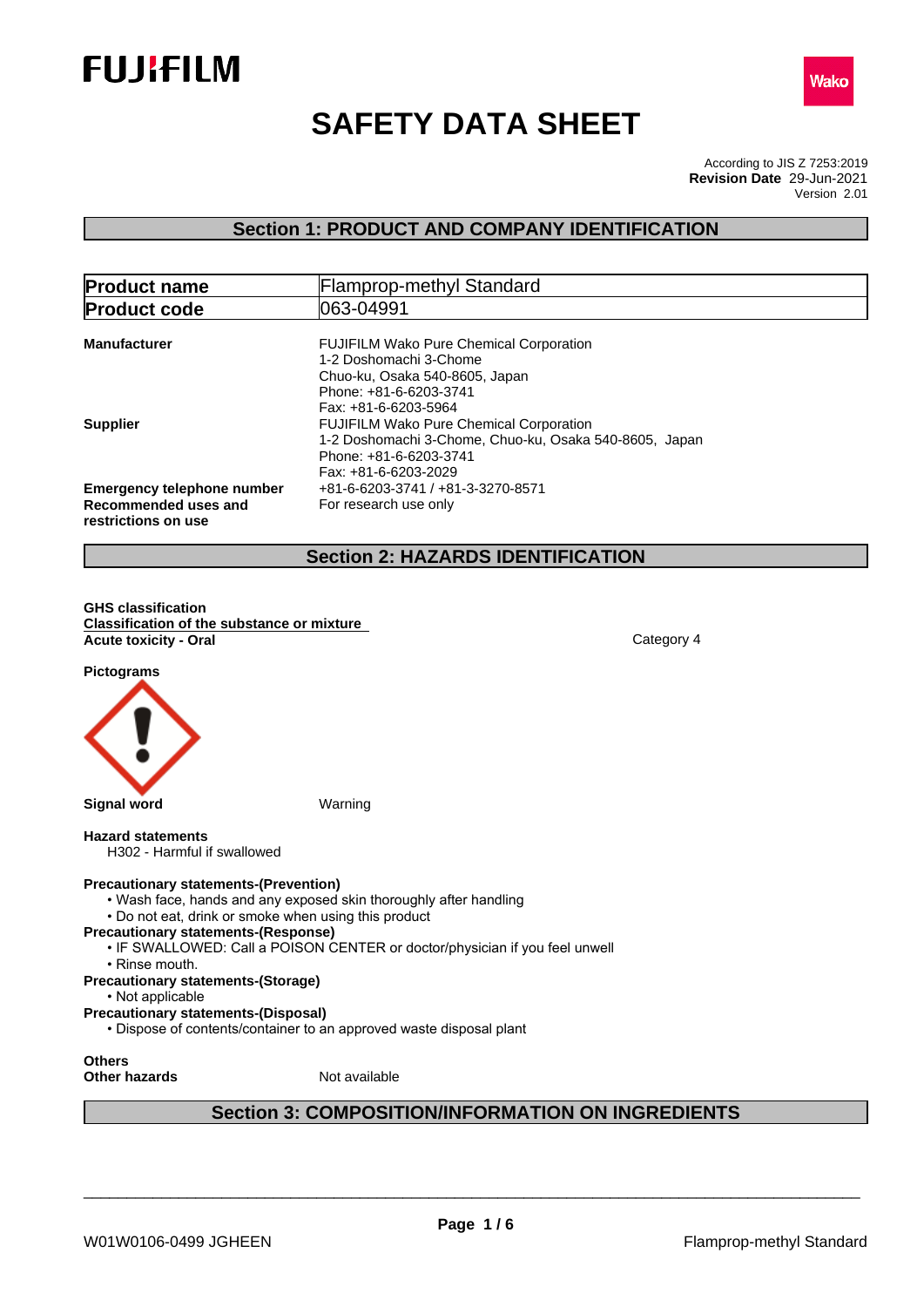



# **SAFETY DATA SHEET**

According to JIS Z 7253:2019 Version 2.01 **Revision Date** 29-Jun-2021

# **Section 1: PRODUCT AND COMPANY IDENTIFICATION**

| <b>Product name</b>                                                              | <b>Flamprop-methyl Standard</b>                                                                                                                                                    |
|----------------------------------------------------------------------------------|------------------------------------------------------------------------------------------------------------------------------------------------------------------------------------|
| <b>Product code</b>                                                              | 1063-04991                                                                                                                                                                         |
| <b>Manufacturer</b>                                                              | <b>FUJIFILM Wako Pure Chemical Corporation</b><br>1-2 Doshomachi 3-Chome<br>Chuo-ku, Osaka 540-8605, Japan<br>Phone: +81-6-6203-3741                                               |
| <b>Supplier</b>                                                                  | Fax: +81-6-6203-5964<br><b>FUJIFILM Wako Pure Chemical Corporation</b><br>1-2 Doshomachi 3-Chome, Chuo-ku, Osaka 540-8605, Japan<br>Phone: +81-6-6203-3741<br>Fax: +81-6-6203-2029 |
| <b>Emergency telephone number</b><br>Recommended uses and<br>restrictions on use | +81-6-6203-3741 / +81-3-3270-8571<br>For research use only                                                                                                                         |

# **Section 2: HAZARDS IDENTIFICATION**

**GHS classification Classification of the substance or mixture Acute toxicity - Oral** Category 4

**Pictograms**



#### **Hazard statements**

H302 - Harmful if swallowed

#### **Precautionary statements-(Prevention)**

- Wash face, hands and any exposed skin thoroughly after handling
- Do not eat, drink or smoke when using this product
- **Precautionary statements-(Response)**
- IF SWALLOWED: Call a POISON CENTER or doctor/physician if you feel unwell
	- Rinse mouth.
- **Precautionary statements-(Storage)**
- Not applicable
- **Precautionary statements-(Disposal)**
- Dispose of contents/container to an approved waste disposal plant

**Others**

**Other hazards** Not available

# **Section 3: COMPOSITION/INFORMATION ON INGREDIENTS**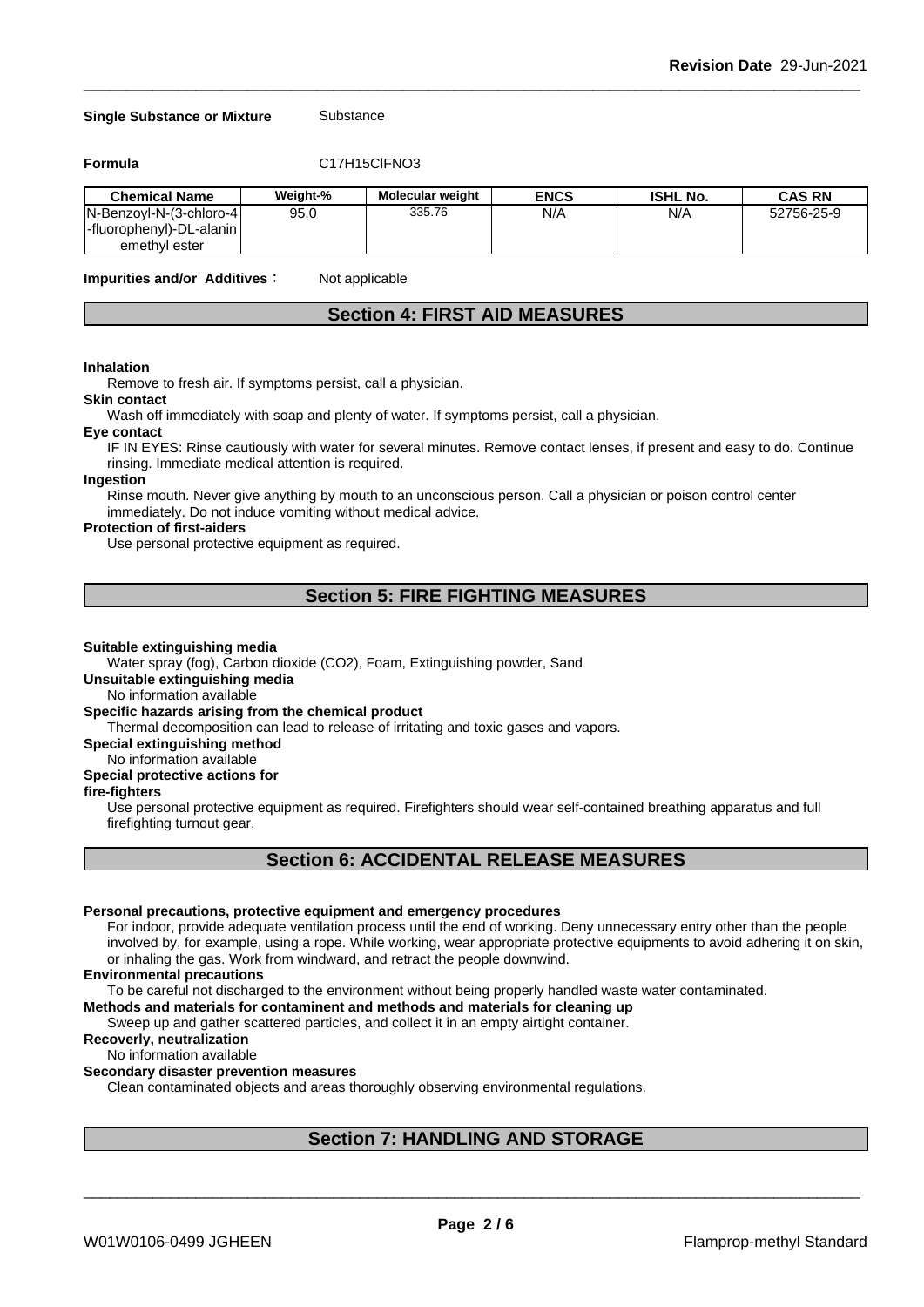#### **Single Substance or Mixture** Substance

**Formula** C17H15ClFNO3

| <b>Chemical Name</b>      | Weight-% | <b>Molecular weight</b> | <b>ENCS</b> | <b>ISHL No.</b> | CAS RN     |
|---------------------------|----------|-------------------------|-------------|-----------------|------------|
| IN-Benzovl-N-(3-chloro-41 | 95.0     | 335.76                  | N/A         | N/A             | 52756-25-9 |
| -fluorophenyl)-DL-alanin  |          |                         |             |                 |            |
| emethyl ester             |          |                         |             |                 |            |

**Impurities and/or Additives**: Not applicable

### **Section 4: FIRST AID MEASURES**

#### **Inhalation**

Remove to fresh air. If symptoms persist, call a physician.

#### **Skin contact**

Wash off immediately with soap and plenty of water. If symptoms persist, call a physician.

#### **Eye contact**

IF IN EYES: Rinse cautiously with water for several minutes. Remove contact lenses, if present and easy to do. Continue rinsing. Immediate medical attention is required.

# **Ingestion**

Rinse mouth. Never give anything by mouth to an unconscious person. Call a physician or poison control center immediately. Do not induce vomiting without medical advice.

#### **Protection of first-aiders**

Use personal protective equipment as required.

## **Section 5: FIRE FIGHTING MEASURES**

#### **Suitable extinguishing media**

Water spray (fog), Carbon dioxide (CO2), Foam, Extinguishing powder, Sand

### **Unsuitable extinguishing media**

No information available

### **Specific hazards arising from the chemical product**

Thermal decomposition can lead to release of irritating and toxic gases and vapors.

#### **Special extinguishing method**

# No information available

# **Special protective actions for**

### **fire-fighters**

Use personal protective equipment as required.Firefighters should wear self-contained breathing apparatus and full firefighting turnout gear.

### **Section 6: ACCIDENTAL RELEASE MEASURES**

#### **Personal precautions, protective equipment and emergency procedures**

For indoor, provide adequate ventilation process until the end of working. Deny unnecessary entry other than the people involved by, for example, using a rope. While working, wear appropriate protective equipments to avoid adhering it on skin, or inhaling the gas. Work from windward, and retract the people downwind.

#### **Environmental precautions**

To be careful not discharged to the environment without being properly handled waste water contaminated.

### **Methods and materials for contaminent and methods and materials for cleaning up**

Sweep up and gather scattered particles, and collect it in an empty airtight container.

#### **Recoverly, neutralization**

#### No information available

#### **Secondary disaster prevention measures**

Clean contaminated objects and areas thoroughly observing environmental regulations.

# **Section 7: HANDLING AND STORAGE**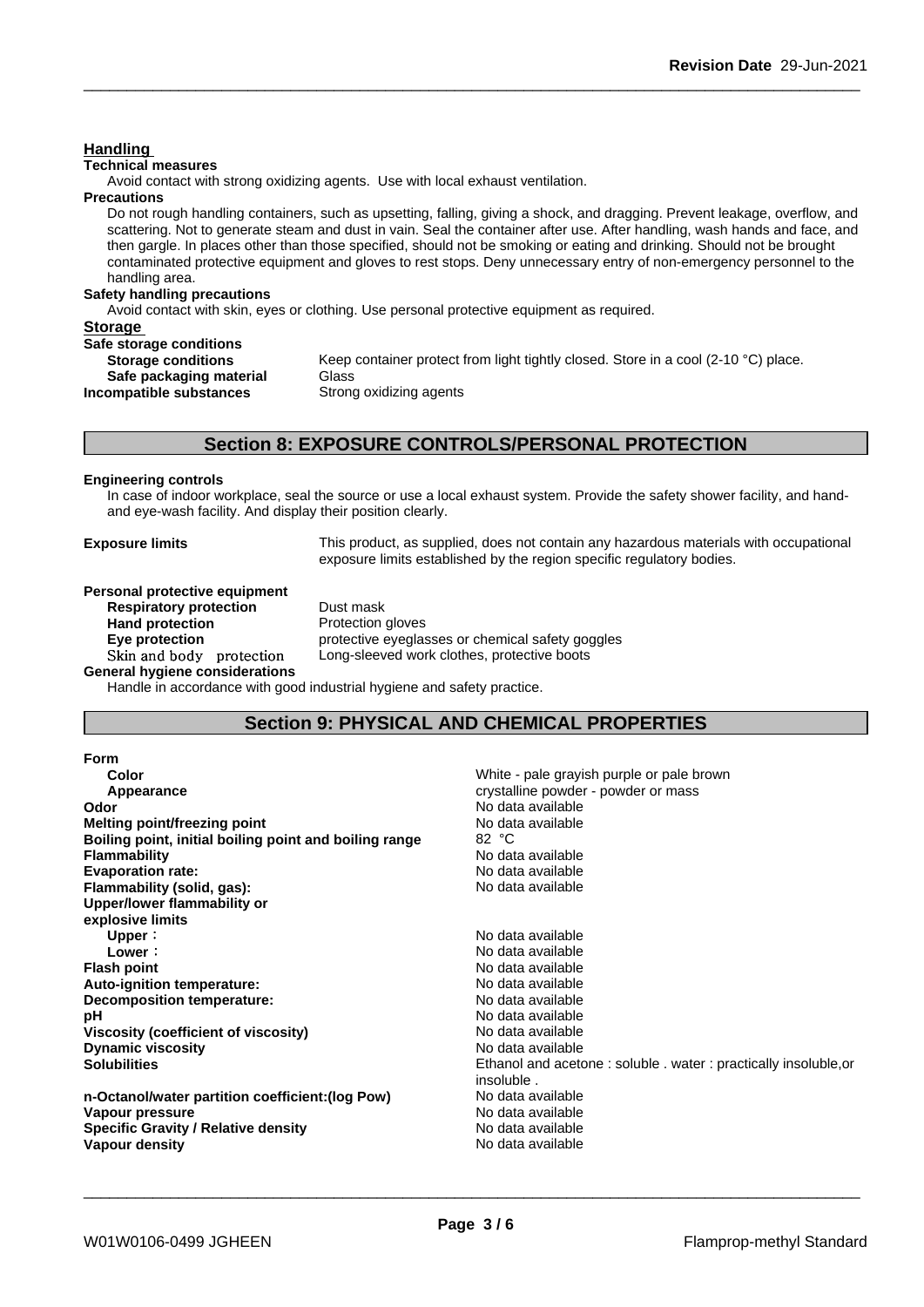**Technical measures** Avoid contact with strong oxidizing agents. Use with local exhaust ventilation. **Precautions** Do not rough handling containers, such as upsetting, falling, giving a shock, and dragging. Prevent leakage, overflow, and scattering. Not to generate steam and dust in vain. Seal the container after use. After handling, wash hands and face, and then gargle. In places other than those specified, should not be smoking or eating and drinking. Should not be brought contaminated protective equipment and gloves to rest stops. Deny unnecessary entry of non-emergency personnel to the handling area. **Safety handling precautions** Avoid contact with skin, eyes or clothing. Use personal protective equipment as required.**Storage Safe storage conditions Storage conditions** Keep container protect from light tightly closed. Store in a cool (2-10 °C) place.<br>Safe packaging material Glass **Safe packaging material Incompatible substances** Strong oxidizing agents **Section 8: EXPOSURE CONTROLS/PERSONAL PROTECTION Engineering controls** In case of indoor workplace, seal the source or use a local exhaust system. Provide the safety shower facility, and handand eye-wash facility. And display their position clearly. **Exposure limits** This product, as supplied, does not contain any hazardous materials with occupational exposure limits established by the region specific regulatory bodies. **Personal protective equipment**<br>**Respiratory protection** Dust mask

**Respiratory** protection

**Handling** 

**Hand protection** Protection gloves **General hygiene considerations**

**Eye protection** protective eyeglasses or chemical safety goggles Skin and body protection Long-sleeved work clothes, protective boots

Handle in accordance with good industrial hygiene and safety practice.

# **Section 9: PHYSICAL AND CHEMICAL PROPERTIES**

| <b>Form</b>                                            |                                                                               |
|--------------------------------------------------------|-------------------------------------------------------------------------------|
| Color                                                  | White - pale grayish purple or pale brown                                     |
| Appearance                                             | crystalline powder - powder or mass                                           |
| Odor                                                   | No data available                                                             |
| <b>Melting point/freezing point</b>                    | No data available                                                             |
| Boiling point, initial boiling point and boiling range | 82 °C                                                                         |
| <b>Flammability</b>                                    | No data available                                                             |
| <b>Evaporation rate:</b>                               | No data available                                                             |
| Flammability (solid, gas):                             | No data available                                                             |
| Upper/lower flammability or                            |                                                                               |
| explosive limits                                       |                                                                               |
| Upper:                                                 | No data available                                                             |
| Lower:                                                 | No data available                                                             |
| <b>Flash point</b>                                     | No data available                                                             |
| Auto-ignition temperature:                             | No data available                                                             |
| Decomposition temperature:                             | No data available                                                             |
| рH                                                     | No data available                                                             |
| Viscosity (coefficient of viscosity)                   | No data available                                                             |
| <b>Dynamic viscosity</b>                               | No data available                                                             |
| <b>Solubilities</b>                                    | Ethanol and acetone: soluble . water: practically insoluble, or<br>insoluble. |
| n-Octanol/water partition coefficient: (log Pow)       | No data available                                                             |
| Vapour pressure                                        | No data available                                                             |
| <b>Specific Gravity / Relative density</b>             | No data available                                                             |
| Vapour density                                         | No data available                                                             |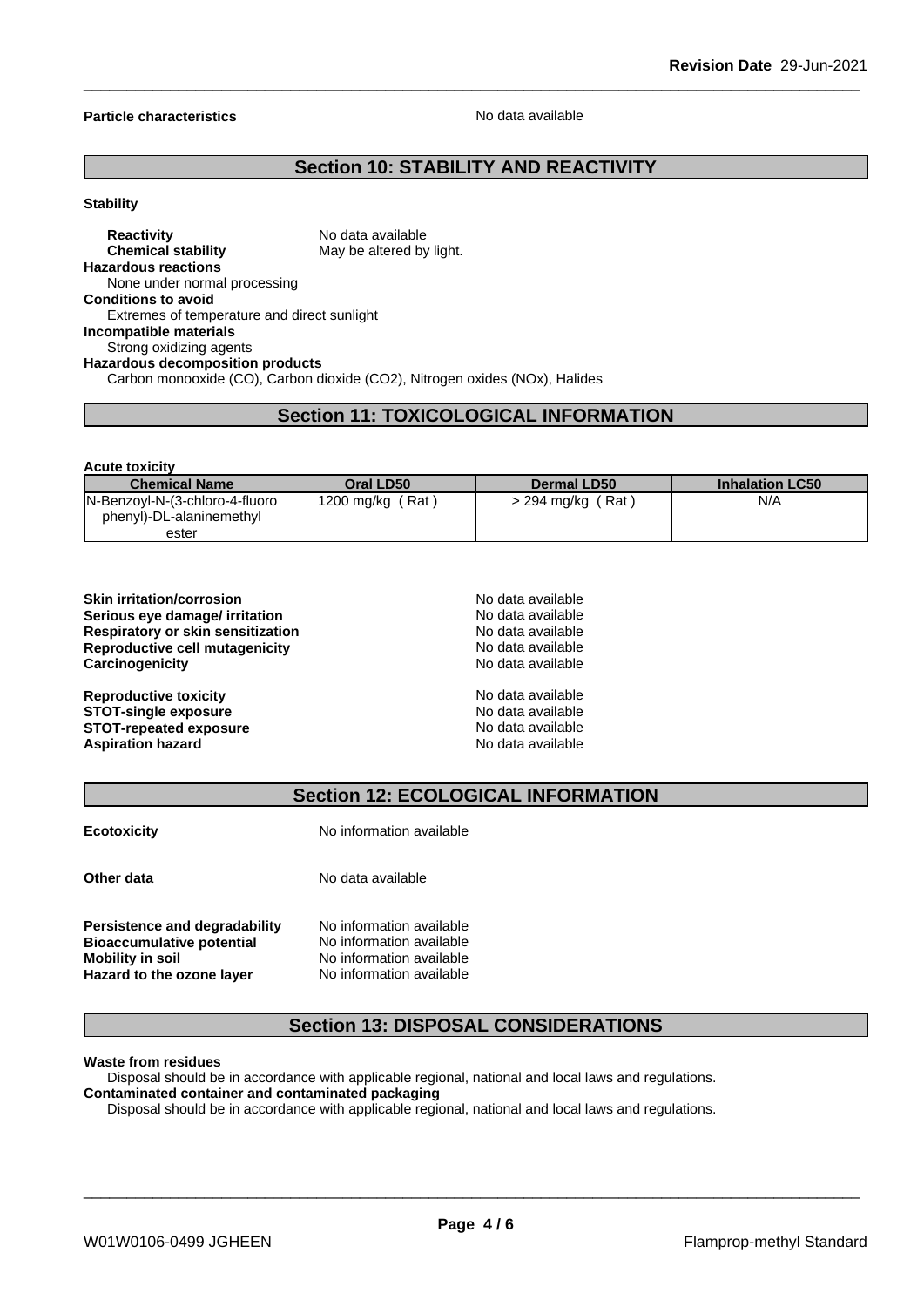#### **Particle characteristics** No data available

# **Section 10: STABILITY AND REACTIVITY**

#### **Stability**

#### **Reactivity** No data available **Chemical stability** May be altered by light. **Hazardous reactions** None under normal processing **Conditions to avoid** Extremes of temperature and direct sunlight **Incompatible materials** Strong oxidizing agents **Hazardous decomposition products** Carbon monooxide (CO), Carbon dioxide (CO2), Nitrogen oxides (NOx), Halides

## **Section 11: TOXICOLOGICAL INFORMATION**

| <b>Acute toxicity</b>          |                  |                     |                        |
|--------------------------------|------------------|---------------------|------------------------|
| <b>Chemical Name</b>           | Oral LD50        | Dermal LD50         | <b>Inhalation LC50</b> |
| N-Benzoyl-N-(3-chloro-4-fluoro | 1200 mg/kg (Rat) | $>$ 294 mg/kg (Rat) | N/A                    |
| phenyl)-DL-alaninemethyl       |                  |                     |                        |
| ester                          |                  |                     |                        |

| <b>Skin irritation/corrosion</b>  | No data available |
|-----------------------------------|-------------------|
| Serious eye damage/ irritation    | No data available |
| Respiratory or skin sensitization | No data available |
| Reproductive cell mutagenicity    | No data available |
| Carcinogenicity                   | No data available |
| <b>Reproductive toxicity</b>      | No data available |
| <b>STOT-single exposure</b>       | No data available |
| <b>STOT-repeated exposure</b>     | No data available |
| <b>Aspiration hazard</b>          | No data available |

### **Section 12: ECOLOGICAL INFORMATION**

|  | ECOLOXICITY |  |
|--|-------------|--|
|  |             |  |

**Ecotoxicity No information available** 

**Other data** No data available

**Persistence and degradability** No information available<br>**Bioaccumulative potential** No information available **Bioaccumulative potential<br>Mobility in soil No information available**<br>**No information available Hazard** to the ozone layer

# **Section 13: DISPOSAL CONSIDERATIONS**

#### **Waste from residues**

Disposal should be in accordance with applicable regional, national and local laws and regulations.

# **Contaminated container and contaminated packaging**

Disposal should be in accordance with applicable regional, national and local laws and regulations.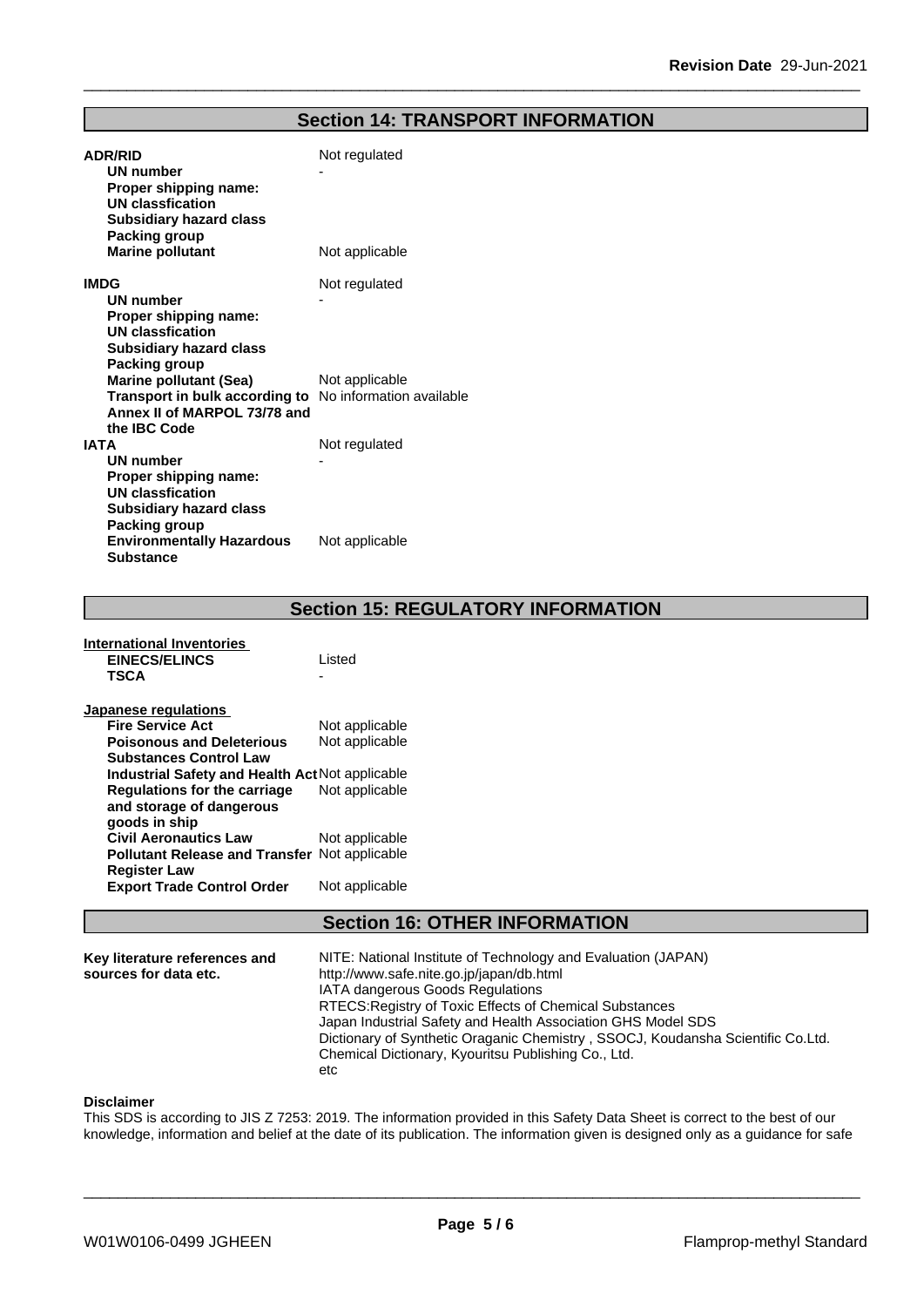# **Section 14: TRANSPORT INFORMATION**

| <b>ADR/RID</b><br><b>UN number</b><br>Proper shipping name:<br><b>UN classfication</b><br><b>Subsidiary hazard class</b><br>Packing group     | Not regulated  |
|-----------------------------------------------------------------------------------------------------------------------------------------------|----------------|
| <b>Marine pollutant</b>                                                                                                                       | Not applicable |
| <b>IMDG</b><br>UN number<br>Proper shipping name:<br><b>UN classfication</b><br><b>Subsidiary hazard class</b><br>Packing group               | Not regulated  |
| <b>Marine pollutant (Sea)</b><br>Transport in bulk according to No information available<br>Annex II of MARPOL 73/78 and<br>the IBC Code      | Not applicable |
| <b>IATA</b><br><b>UN number</b><br>Proper shipping name:<br><b>UN classfication</b><br><b>Subsidiary hazard class</b><br><b>Packing group</b> | Not regulated  |
| <b>Environmentally Hazardous</b><br><b>Substance</b>                                                                                          | Not applicable |

**Section 15: REGULATORY INFORMATION**

| <b>EINECS/ELINCS</b>                                 | Listed         |
|------------------------------------------------------|----------------|
| <b>TSCA</b>                                          |                |
|                                                      |                |
| Japanese regulations                                 |                |
| <b>Fire Service Act</b>                              | Not applicable |
| <b>Poisonous and Deleterious</b>                     | Not applicable |
| <b>Substances Control Law</b>                        |                |
| Industrial Safety and Health Act Not applicable      |                |
| Regulations for the carriage                         | Not applicable |
| and storage of dangerous                             |                |
| goods in ship                                        |                |
| <b>Civil Aeronautics Law</b>                         | Not applicable |
| <b>Pollutant Release and Transfer Not applicable</b> |                |
| <b>Register Law</b>                                  |                |
| <b>Export Trade Control Order</b>                    | Not applicable |
|                                                      |                |

**International Inventories**

# **Section 16: OTHER INFORMATION**

| Key literature references and | NITE: National Institute of Technology and Evaluation (JAPAN)                   |
|-------------------------------|---------------------------------------------------------------------------------|
| sources for data etc.         | http://www.safe.nite.go.jp/japan/db.html                                        |
|                               | <b>IATA dangerous Goods Regulations</b>                                         |
|                               | RTECS: Registry of Toxic Effects of Chemical Substances                         |
|                               | Japan Industrial Safety and Health Association GHS Model SDS                    |
|                               | Dictionary of Synthetic Oraganic Chemistry, SSOCJ, Koudansha Scientific Co.Ltd. |
|                               | Chemical Dictionary, Kyouritsu Publishing Co., Ltd.                             |
|                               | etc                                                                             |

#### **Disclaimer**

This SDS is according to JIS Z 7253: 2019. The information provided in this Safety Data Sheet is correct to the best of our knowledge, information and belief at the date of its publication. The information given is designed only as a guidance for safe